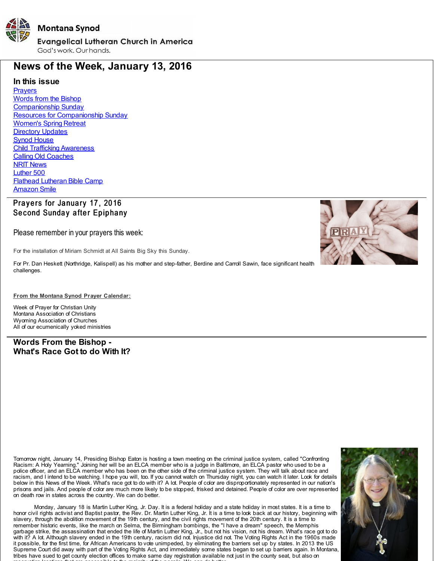<span id="page-0-0"></span>

# **News of the Week, January 13, 2016**

### **In this issue**

**[Prayers](#page-0-0)** [Words](#page-0-0) from the Bishop [Companionship](#page-0-0) Sunday Resources for [Companionship](#page-0-0) Sunday [Women's](#page-0-0) Spring Retreat **[Directory](#page-0-0) Updates Synod [House](#page-0-0)** Child Trafficking [Awareness](#page-0-0) Calling Old [Coaches](#page-0-0) NRIT [News](#page-0-0) [Luther](#page-0-0) 500 Flathead [Lutheran](#page-0-0) Bible Camp [Amazon](#page-0-0) Smile

## Pravers for January 17, 2016 Second Sunday after Epiphany

Please remember in your prayers this week:

For the installation of Miriam Schmidt at All Saints Big Sky this Sunday.

For Pr. Dan Heskett (Northridge, Kalispell) as his mother and step-father, Berdine and Carroll Sawin, face significant health challenges.

### **From the Montana Synod Prayer Calendar:**

Week of Prayer for Christian Unity Montana Association of Christians Wyoming Association of Churches All of our ecumenically yoked ministries

### **Words From the Bishop - What's Race Got to do With It?**

Tomorrow night, January 14, Presiding Bishop Eaton is hosting a town meeting on the criminal justice system, called "Confronting Racism: A Holy Yearning." Joining her will be an ELCA member who is a judge in Baltimore, an ELCA pastor who used to be a police officer, and an ELCA member who has been on the other side of the criminal justice system. They will talk about race and racism, and I intend to be watching. I hope you will, too. If you cannot watch on Thursday night, you can watch it later. Look for details below in this News of the Week. What's race got to do with it? A lot. People of color are disproportionately represented in our nation's prisons and jails. And people of color are much more likely to be stopped, frisked and detained. People of color are over represented on death row in states across the country. We can do better.

Monday, January 18 is Martin Luther King, Jr. Day. It is a federal holiday and a state holiday in most states. It is a time to honor civil rights activist and Baptist pastor, the Rev. Dr. Martin Luther King, Jr. It is a time to look back at our history, beginning with slavery, through the abolition movement of the 19th century, and the civil rights movement of the 20th century. It is a time to remember historic events, like the march on Selma, the Birmingham bombings, the "I have a dream" speech, the Memphis garbage strike, the assassination that ended the life of Martin Luther King, Jr., but not his vision, not his dream. What's race got to do with it? A lot. Although slavery ended in the 19th century, racism did not. Injustice did not. The Voting Rights Act in the 1960s made it possible, for the first time, for African Americans to vote unimpeded, by eliminating the barriers set up by states. In 2013 the US Supreme Court did away with part of the Voting Rights Act, and immediately some states began to set up barriers again. In Montana, tribes have sued to get county election offices to make same day registration available not just in the county seat, but also on reservation locations that are accessible to the majority of the people. We can do better.



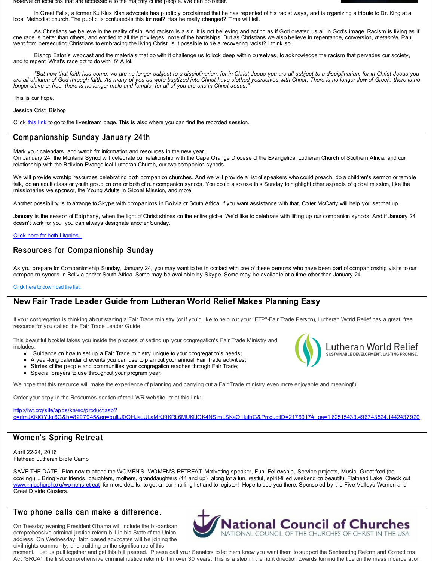reservation locations that are accessible to the majority of the people. We can do better.

In Great Falls, a former Ku Klux Klan advocate has publicly proclaimed that he has repented of his racist ways, and is organizing a tribute to Dr. King at a local Methodist church. The public is confused-is this for real? Has he really changed? Time will tell.

As Christians we believe in the reality of sin. And racism is a sin. It is not believing and acting as if God created us all in God's image. Racism is living as if one race is better than others, and entitled to all the privileges, none of the hardships. But as Christians we also believe in repentance, conversion, *metanoia.* Paul went from persecuting Christians to embracing the living Christ. Is it possible to be a recovering racist? I think so.

Bishop Eaton's webcast and the materials that go with it challenge us to look deep within ourselves, to acknowledge the racism that pervades our society, and to repent. What's race got to do with it? A lot.

"But now that faith has come, we are no longer subject to a disciplinarian, for in Christ Jesus you are all subject to a disciplinarian, for in Christ Jesus you are all children of God through faith. As many of you as were baptized into Christ have clothed yourselves with Christ. There is no longer Jew of Greek, there is no longer slave or free, there is no longer male and female; for all of you are one in Christ Jesus.

This is our hope.

Jessica Crist, Bishop

Click [this](http://r20.rs6.net/tn.jsp?f=001KrBvKmQaSOiw8pH6hy8Wh96lvg1AM4L7BI364AK0x702nq9ZZZMXf2yloXuQXj3gxKC6JcY9RpzVPsWMBaLahE9kGzY75WoSSrqdDdjYF1sTpXfGsso8Cap6H8ccv6MA06WKbSF-NXOjJRTQjqqt_y962yK9OoHI1zXDJE92HdREIpRNTBqauA==&c=&ch=) link to go to the livestream page. This is also where you can find the recorded session.

#### Companionship Sunday January 24th

Mark your calendars, and watch for information and resources in the new year.

On January 24, the Montana Synod will celebrate our relationship with the Cape Orange Diocese of the Evangelical Lutheran Church of Southern Africa, and our relationship with the Bolivian Evangelical Lutheran Church, our two companion synods.

We will provide worship resources celebrating both companion churches. And we will provide a list of speakers who could preach, do a children's sermon or temple talk, do an adult class or youth group on one or both of our companion synods. You could also use this Sunday to highlight other aspects of global mission, like the missionaries we sponsor, the Young Adults in Global Mission, and more.

Another possibility is to arrange to Skype with companions in Bolivia or South Africa. If you want assistance with that, Colter McCarty will help you set that up.

January is the season of Epiphany, when the light of Christ shines on the entire globe. We'd like to celebrate with lifting up our companion synods. And if January 24 doesn't work for you, you can always designate another Sunday.

#### Click here for both [Litanies.](http://r20.rs6.net/tn.jsp?f=001KrBvKmQaSOiw8pH6hy8Wh96lvg1AM4L7BI364AK0x702nq9ZZZMXf9AKPYfRqSW5fAOOeaImT82q3nKfNNdTJk7NoqDDA0hPeRfSKnyRrP5sPuhUTKN3h5DmMnqaNvaDFbzqSsL9dEWBgqu0Ag_-xxHmdaR4bJa9rkp_DlufP11ZWSyZfDoggiyPS6WiuNIW0wpJLJClCbMytyO9ut1b-PFayI6FpbAx&c=&ch=)

### Resources for Companionship Sunday

As you prepare for Companionship Sunday, January 24, you may want to be in contact with one of these persons who have been part of companionship visits to our companion synods in Bolivia and/or South Africa. Some may be available by Skype. Some may be available at a time other than January 24.

#### Click here to [download](http://r20.rs6.net/tn.jsp?f=001KrBvKmQaSOiw8pH6hy8Wh96lvg1AM4L7BI364AK0x702nq9ZZZMXf6VgkKvLvfJ32bHeoc0E_ko1oQSgfhWIIp0wEc5XoSHdeMpcCUaVwz9DOXxsSqw1vv6rZAgUANVFxw5m58DhBTWPcakGuM3GCFu7sSS-ituTxObo6HkqpwVDA7-Zv_0blONdSU47nut3wmB4yQcCFPtYUVSio53HRISq07k2SEGDlooTYIQ62DOFw2sx1a3UAW2GIT6UZQ5XryIlH4BiKRL3ZHySrDbmfVtjJX26Haf6&c=&ch=) the list.

### **New Fair Trade Leader Guide from Lutheran World Relief Makes Planning Easy**

If your congregation is thinking about starting a Fair Trade ministry (or if you'd like to help out your "FTP"-Fair Trade Person), Lutheran World Relief has a great, free resource for you called the Fair Trade Leader Guide.

This beautiful booklet takes you inside the process of setting up your congregation's Fair Trade Ministry and includes:

- Guidance on how to set up a Fair Trade ministry unique to your congregation's needs;
- A year-long calendar of events you can use to plan out your annual Fair Trade activities;
- Stories of the people and communities your congregation reaches through Fair Trade;
- Special prayers to use throughout your program year;

We hope that this resource will make the experience of planning and carrying out a Fair Trade ministry even more enjoyable and meaningful.

Order your copy in the Resources section of the LWR website, or at this link:

http://lwr.org/site/apps/ka/ec/product.asp? [c=dmJXKiOYJgI6G&b=8297945&en=buILJ0OHJaLULaMKJ9KRL6MUKlJOK4NSImLSKaO1IuIbG&ProductID=2176017#\\_ga=1.62515433.496743524.1442437920](http://r20.rs6.net/tn.jsp?f=001KrBvKmQaSOiw8pH6hy8Wh96lvg1AM4L7BI364AK0x702nq9ZZZMXf9qgAjTulgtTm9C3wAUAXtq5InfYWRRylRTSoYvpo5qpp4F_1Z2dKXNpDnuIo-Dh0jlZyxPEFqH_pug6930SUsPJwJrJaN25WkM6d2O45uHeRzNNla32mORuCNv6g0EAV2i5FHZ0DlFw8zvOY4vekuMsV-582vS1BrjcjdOyqjLBZo1qZL-7cPjgOCZseEvHpE0E4vx4H_Sln6KL3YVKevx1AKACmXvMYNH7GmMWrRRdNpW3tHdFLqCJNeWcYQdecHNEbAiPaYuCetX_9UJnLMr2nrl-3FvAkOyyup00ePmxZ1thMqH4pnbqg-837icOKv-3j-X1KBm8Fu4bPL5DCaNKh45lFsZi4g==&c=&ch=)

### Women's Spring Retreat

April 22-24, 2016 Flathead Lutheran Bible Camp

SAVE THE DATE! Plan now to attend the WOMEN'S WOMEN'S RETREAT. Motivating speaker, Fun, Fellowship, Service projects, Music, Great food (no cooking!).... Bring your friends, daughters, mothers, granddaughters (14 and up) along for a fun, restful, spirit-filled weekend on beautiful Flathead Lake. Check out [www.imluchurch.org/womensretreat](http://r20.rs6.net/tn.jsp?f=001KrBvKmQaSOiw8pH6hy8Wh96lvg1AM4L7BI364AK0x702nq9ZZZMXf9qgAjTulgtT7rtiW5HpYlVgGVGBwIggDpXYDSdfDH_Tq-msQLb3LUym04zLH8gq7rcTZ_JdZ9hAUBXGlfedoej78lEH8WVDQiwGKD0st0Z5yecECyO3ZWxAIFKWyopS0jl8UASPOMgh&c=&ch=) for more details, to get on our mailing list and to register! Hope to see you there. Sponsored by the Five Valleys Women and Great Divide Clusters.

# Two phone calls can make a difference.

On Tuesday evening President Obama will include the bi-partisan comprehensive criminal justice reform bill in his State of the Union address. On Wednesday, faith based advocates will be joining the civil rights community, and building on the significance of this



moment. Let us pull together and get this bill passed. Please call your Senators to let them know you want them to support the Sentencing Reform and Corrections Act (SRCA), the first comprehensive criminal justice reform bill in over 30 years. This is a step in the right direction towards turning the tide on the mass incarceration



utheran World Relief.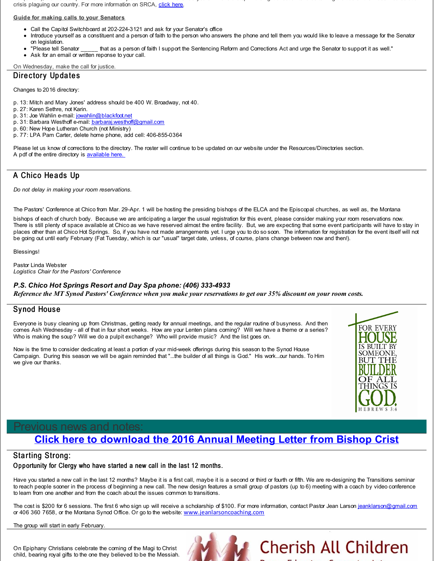Act (SRCA), the first comprehensive criminal justice reform bill in over 30 years. This is a step in the right direction towards turning the tide on the mass incarceration crisis plaguing our country. For more information on SRCA, [click](http://r20.rs6.net/tn.jsp?f=001KrBvKmQaSOiw8pH6hy8Wh96lvg1AM4L7BI364AK0x702nq9ZZZMXf9qgAjTulgtTBPWh2aJfr9QGOd70t-khUqIO12KReyfj2au0smzLVf4OoDEYYbc99Po83RR17WuQKpNM2X-TqM0nbokFG9EqCZ2e1I5kzjR-tooMYKNgT-hI1yADaUJR5ghKQknI_3OQl5AXclr5VhXnO1wnWMjQa_wb-Yvi3MawsgOkjNc5F53QLtv0KRkVQvwxUr32h0WG9h52bhC75x2TGfRYm3MxWQ==&c=&ch=) here.

#### **Guide for making calls to your Senators**

- Call the Capitol Switchboard at 202-224-3121 and ask for your Senator's office
- Introduce yourself as a constituent and a person of faith to the person who answers the phone and tell them you would like to leave a message for the Senator on legislation.<br>"Please tell Senator
- that as a person of faith I support the Sentencing Reform and Corrections Act and urge the Senator to support it as well."
- Ask for an email or written reponse to your call.

On Wednesday, make the call for justice.

#### Directory Updates

Changes to 2016 directory:

- p. 13: Mitch and Mary Jones' address should be 400 W. Broadway, not 40.
- p. 27: Karen Sethre, not Karin.
- p. 31: Joe Wahlin e-mail: [jowahlin@blackfoot.net](mailto:jowahlin@blackfoot.net)
- p. 31: Barbara Westhoff e-mail: [barbaraj.westhoff@gmail.com](mailto:barbaraj.westhoff@gmail.com)
- p. 60: New Hope Lutheran Church (not Ministry)
- p. 77: LPA Pam Carter, delete home phone, add cell: 406-855-0364

Please let us know of corrections to the directory. The roster will continue to be updated on our website under the Resources/Directories section. A pdf of the entire directory is [available](http://r20.rs6.net/tn.jsp?f=001KrBvKmQaSOiw8pH6hy8Wh96lvg1AM4L7BI364AK0x702nq9ZZZMXf9qgAjTulgtTLCqZfKglZkODJUtGsHFvY-wskzX2XpwWwY2V8Fi5N-W1yCaf60sgJW3ED0tzDxbhpIHCJ0hk6Bh-DRsL8wWgezcgug7LKyEEEpkd59vWm3mdAqdhncSYWFqn0sa3LT6GQ3LyQdSFxR2fRxdXsjOVcXTCHTfop8_CESpgWISkOZHMd9bHypXGhXcG2DnhsPEGSBNIiMzcF2k=&c=&ch=) here.

#### A Chico Heads Up

*Do not delay in making your room reservations.*

The Pastors' Conference at Chico from Mar. 29-Apr. 1 will be hosting the presiding bishops of the ELCA and the Episcopal churches, as well as, the Montana

bishops of each of church body. Because we are anticipating a larger the usual registration for this event, please consider making your room reservations now. There is still plenty of space available at Chico as we have reserved almost the entire facility. But, we are expecting that some event participants will have to stay in places other than at Chico Hot Springs. So, if you have not made arrangements yet. I urge you to do so soon. The information for registration for the event itself will not be going out until early February (Fat Tuesday, which is our "usual" target date, unless, of course, plans change between now and then!).

Blessings!

Pastor Linda Webster *Logistics Chair for the Pastors' Conference*

#### *P.S. Chico Hot Springs Resort and Day Spa phone: (406) 333-4933*

Reference the MT Synod Pastors' Conference when you make your reservations to get our 35% discount on your room costs.

#### Sy nod Hous e

Everyone is busy cleaning up from Christmas, getting ready for annual meetings, and the regular routine of busyness. And then comes Ash Wednesday - all of that in four short weeks. How are your Lenten plans coming? Will we have a theme or a series? Who is making the soup? Will we do a pulpit exchange? Who will provide music? And the list goes on.

Now is the time to consider dedicating at least a portion of your mid-week offerings during this season to the Synod House Campaign. During this season we will be again reminded that "...the builder of all things is God." His work...our hands. To Him we give our thanks.



**Cherish All Children** 

# Previous news and notes: **Click here to [download](http://r20.rs6.net/tn.jsp?f=001KrBvKmQaSOiw8pH6hy8Wh96lvg1AM4L7BI364AK0x702nq9ZZZMXf9AKPYfRqSW5LJHgX7382-jnnvBBlwe-i16NrfQtOLsxR8wHmJM1_GsMxNPXv0QyFRVpPkbvp3LI0mw5ulUC5kjmARouDxeJG13rGT8z1Rl00NB3tD7Vj1rSU0084DDcSyBnqiVEI1N7i9JgzF_6dXQ0B5bjoeHpHyFzcJ09hrD3XHd_suqm4MABdByai-Gnlid-hqlgerHgNt73HE4Xu54=&c=&ch=) the 2016 Annual Meeting Letter from Bishop Crist**

### Starting Strong:

Opportunity for Clergy who have started a new call in the last 12 months.

Have you started a new call in the last 12 months? Maybe it is a first call, maybe it is a second or third or fourth or fifth. We are re-designing the Transitions seminar to reach people sooner in the process of beginning a new call. The new design features a small group of pastors (up to 6) meeting with a coach by video conference to learn from one another and from the coach about the issues common to transitions.

The cost is \$200 for 6 sessions. The first 6 who sign up will receive a scholarship of \$100. For more information, contact Pastor Jean Larson [jeanklarson@gmail.com](mailto:jeanklarson@gmail.com) or 406 360 7658, or the Montana Synod Office. Or go to the website: [www.jeanlarsoncoaching.com](http://r20.rs6.net/tn.jsp?f=001KrBvKmQaSOiw8pH6hy8Wh96lvg1AM4L7BI364AK0x702nq9ZZZMXf9AKPYfRqSW52mH2zPakAofgdemehDJjtsGczA_j_5BUBTODOjSQUGovWRByrNuQd1pgKrLCVDDOUSux_TvV65LVuoG1sP_6U66LaYBkaJzlbmwjHR3Ycbt8AALyvMU-rA==&c=&ch=)

The group will start in early February.

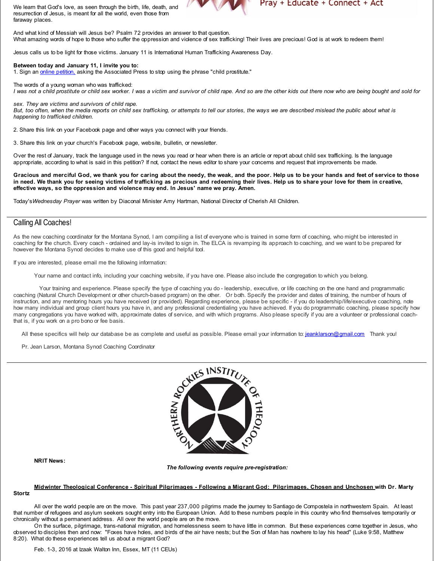

Pray + Educate + Connect + Act

We learn that God's love, as seen through the birth, life, death, and resurrection of Jesus, is meant for all the world, even those from faraway places.

And what kind of Messiah will Jesus be? Psalm 72 provides an answer to that question. What amazing words of hope to those who suffer the oppression and violence of sex trafficking! Their lives are precious! God is at work to redeem them!

Jesus calls us to be light for those victims. January 11 is International Human Trafficking Awareness Day.

#### **Between today and January 11, I invite you to:**

1. Sign an online [petition,](http://r20.rs6.net/tn.jsp?f=001KrBvKmQaSOiw8pH6hy8Wh96lvg1AM4L7BI364AK0x702nq9ZZZMXf9AKPYfRqSW5ycz7rdMVJl_-m8IPJLgwD_zybhiPqzA-uhRaAV2AowbPSd_-jb48w7LGR_WD4vXXLWXJeoGsDoxvmj7Qi1gzbbfr1P6kizBWY81JOMU89N67u0-b-v3tF_jQcnLmvo5uX0zyIfJU4njzeqkbU6oy0r3-CUVHbJUbnOJo4pEL1_QEMomvbCSwbchXdvUtGBwhkXGEMszXAqmW1Aw_THl-5L3cHjOauvOYMQAyo3pW8TJp5KwWHTZ713wMas86gNmDXMY1jK7ATG6vcN7uw9MVsN5UcYavHk0REta1vslnPlOjVx4JhK3LXowzgP4p_JS5iHlB8CezmzQ=&c=&ch=) asking the Associated Press to stop using the phrase "child prostitute."

The words of a young woman who was trafficked:

I was not a child prostitute or child sex worker. I was a victim and survivor of child rape. And so are the other kids out there now who are being bought and sold for

*sex. They are victims and survivors of child rape.*

But, too often, when the media reports on child sex trafficking, or attempts to tell our stories, the ways we are described mislead the public about what is *happening to trafficked children.*

2. Share this link on your Facebook page and other ways you connect with your friends.

3. Share this link on your church's Facebook page, website, bulletin, or newsletter.

Over the rest of January, track the language used in the news you read or hear when there is an article or report about child sex trafficking. Is the language appropriate, according to what is said in this petition? If not, contact the news editor to share your concerns and request that improvements be made.

Gracious and merciful God, we thank you for caring about the needy, the weak, and the poor. Help us to be your hands and feet of service to those in need. We thank you for seeing victims of trafficking as precious and redeeming their lives. Help us to share your love for them in creative, **effective ways, so the oppression and violence may end. In Jesus' name we pray. Amen.**

Today's*Wednesday Prayer* was written by Diaconal Minister Amy Hartman, National Director of Cherish All Children.

#### Calling All Coaches!

As the new coaching coordinator for the Montana Synod, I am compiling a list of everyone who is trained in some form of coaching, who might be interested in coaching for the church. Every coach - ordained and lay-is invited to sign in. The ELCA is revamping its approach to coaching, and we want to be prepared for however the Montana Synod decides to make use of this good and helpful tool.

If you are interested, please email me the following information:

Your name and contact info, including your coaching website, if you have one. Please also include the congregation to which you belong.

Your training and experience. Please specify the type of coaching you do - leadership, executive, or life coaching on the one hand and programmatic coaching (Natural Church Development or other church-based program) on the other. Or both. Specify the provider and dates of training, the number of hours of instruction, and any mentoring hours you have received (or provided). Regarding experience, please be specific - if you do leadership/life/executive coaching, note how many individual and group client hours you have in, and any professional credentialing you have achieved. If you do programmatic coaching, please specify how many congregations you have worked with, approximate dates of service, and with which programs. Also please specify if you are a volunteer or professional coachthat is, if you work on a pro bono or fee basis.

All these specifics will help our database be as complete and useful as possible. Please email your information to: [jeanklarson@gmail.com](mailto:jeanklarson@gmail.com) Thank you!

Pr. Jean Larson, Montana Synod Coaching Coordinator



**NRIT News:**

*The following events require pre-registration:*

#### Midwinter Theological Conference - Spiritual Pilgrimages - Following a Migrant God: Pilgrimages, Chosen and Unchosen with Dr. Marty **Stortz**

All over the world people are on the move. This past year 237,000 pilgrims made the journey to Santiago de Compostela in northwestern Spain. At least that number of refugees and asylum seekers sought entry into the European Union. Add to these numbers people in this country who find themselves temporarily or chronically without a permanent address. All over the world people are on the move.

On the surface, pilgrimage, trans-national migration, and homelessness seem to have little in common. But these experiences come together in Jesus, who observed to disciples then and now: "Foxes have holes, and birds of the air have nests; but the Son of Man has nowhere to lay his head" (Luke 9:58, Matthew 8:20). What do these experiences tell us about a migrant God?

#### Feb. 1-3, 2016 at Izaak Walton Inn, Essex, MT (11 CEUs)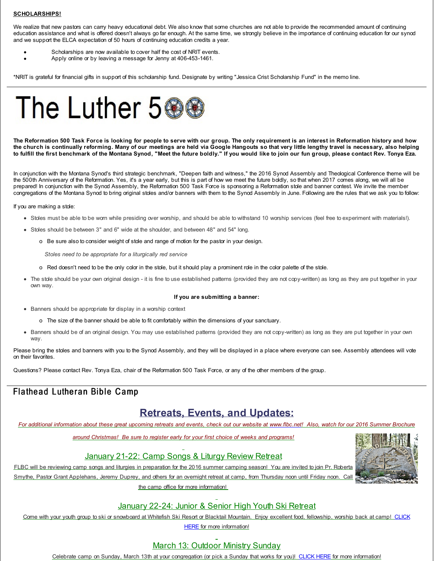#### **SCHOLARSHIPS!**

We realize that new pastors can carry heavy educational debt. We also know that some churches are not able to provide the recommended amount of continuing education assistance and what is offered doesn't always go far enough. At the same time, we strongly believe in the importance of continuing education for our synod and we support the ELCA expectation of 50 hours of continuing education credits a year.

- Scholarships are now available to cover half the cost of NRIT events.
- Apply online or by leaving a message for Jenny at 406-453-1461.

\*NRIT is grateful for financial gifts in support of this scholarship fund. Designate by writing "Jessica Crist Scholarship Fund" in the memo line.



The Reformation 500 Task Force is looking for people to serve with our group. The only requirement is an interest in Reformation history and how the church is continually reforming. Many of our meetings are held via Google Hangouts so that very little lengthy travel is necessary, also helping to fulfill the first benchmark of the Montana Synod, "Meet the future boldly." If you would like to join our fun group, please contact Rev. Tonya Eza.

In conjunction with the Montana Synod's third strategic benchmark, "Deepen faith and witness," the 2016 Synod Assembly and Theological Conference theme will be the 500th Anniversary of the Reformation. Yes, it's a year early, but this is part of how we meet the future boldly, so that when 2017 comes along, we will all be prepared! In conjunction with the Synod Assembly, the Reformation 500 Task Force is sponsoring a Reformation stole and banner contest. We invite the member congregations of the Montana Synod to bring original stoles and/or banners with them to the Synod Assembly in June. Following are the rules that we ask you to follow:

If you are making a stole:

- Stoles must be able to be worn while presiding over worship, and should be able to withstand 10 worship services (feel free to experiment with materials!).
- Stoles should be between 3" and 6" wide at the shoulder, and between 48" and 54" long.
	- o Be sure also to consider weight of stole and range of motion for the pastor in your design.

*Stoles need to be appropriate for a liturgically red service*

- o Red doesn't need to be the only color in the stole, but it should play a prominent role in the color palette of the stole.
- The stole should be your own original design it is fine to use established patterns (provided they are not copy-written) as long as they are put together in your own way.

#### **If you are submitting a banner:**

- Banners should be appropriate for display in a worship context
	- o The size of the banner should be able to fit comfortably within the dimensions of your sanctuary.
- Banners should be of an original design. You may use established patterns (provided they are not copy-written) as long as they are put together in your own way.

Please bring the stoles and banners with you to the Synod Assembly, and they will be displayed in a place where everyone can see. Assembly attendees will vote on their favorites.

Questions? Please contact Rev. Tonya Eza, chair of the Reformation 500 Task Force, or any of the other members of the group.

# Flathead Lutheran Bible Camp

# **Retreats, Events, and Updates:**

For additional information about these great upcoming retreats and events, check out our website at [www.flbc.net](http://r20.rs6.net/tn.jsp?f=001KrBvKmQaSOiw8pH6hy8Wh96lvg1AM4L7BI364AK0x702nq9ZZZMXf6VgkKvLvfJ3YCxM1emHu_aYlu-VXYLwcS6W-lxAe93-OmACYHjIKmbHCJ2y3zG9XxIa5tcnSzfvpfj5-2i926vn-Cg0ZNP5YpMTsSb-5ez3gu-mEQA3zvFX3lToLtM6Teo0rLXEHq0Hf_yq3xDP3HWIPXWpqNNCMGf9UQQSYU_1Jt5Pv08Paatroub0RkRNwYi1DIXR_snG&c=&ch=)! Also, watch for our 2016 Summer Brochure

*around Christmas! Be sure to register early for your first choice of weeks and programs!*

### January 21-22: Camp Songs & Liturgy Review Retreat

FLBC will be reviewing camp songs and liturgies in preparation for the 2016 summer camping season! You are invited to join Pr. Roberta Smythe, Pastor Grant Applehans, Jeremy Duprey, and others for an overnight retreat at camp, from Thursday noon until Friday noon. Call

the camp office for more information!



# January 22-24: Junior & Senior High Youth Ski Retreat

Come with your youth group to ski or snowboard at Whitefish Ski Resort or Blacktail Mountain. Enjoy excellent food, fellowship, worship back at camp! CLICK **HERE** for more [information!](http://r20.rs6.net/tn.jsp?f=001KrBvKmQaSOiw8pH6hy8Wh96lvg1AM4L7BI364AK0x702nq9ZZZMXf6VgkKvLvfJ3aXX0WullW7RpoM_XpeRGASI9i-5s49lfj-gUXV3lTz3n8JUKtiG8k5PJeVYpApZeKJ0RQ3qmZ3DiLmAPHdIi0Q-EswhU_jp2O7Aa_NTwbnPoTognJc70hPGCLbRgkht85w9TmgcVtOCkEFLupiRHqZMO-4kTxMv5mTHgqAFNNQwwvM1x2hR2XX1iDZWdY0Xx&c=&ch=)

# March 13: Outdoor Ministry Sunday

Celebrate camp on Sunday, March 13th at your congregation (or pick a Sunday that works for you)! [CLICK](http://r20.rs6.net/tn.jsp?f=001KrBvKmQaSOiw8pH6hy8Wh96lvg1AM4L7BI364AK0x702nq9ZZZMXf6VgkKvLvfJ3hdRdWyi3Xq83yE_nl9_1VncWFKM585cAk1gbMw1R8MTuHDTPv8ETTsmlGcdYqr3o0qSUvMF6MB3jRjqVde6jMxkauYcIml-eVGlntfyJ60qOasfq3rtfBVVlqETiWGHgA1dwqrp2bZ9APCqr7kVfXJGdEfvaMlsmfV2b8CR7w5Xjf3CZED2PMDLKkruE3fyQ&c=&ch=) HERE for more information!